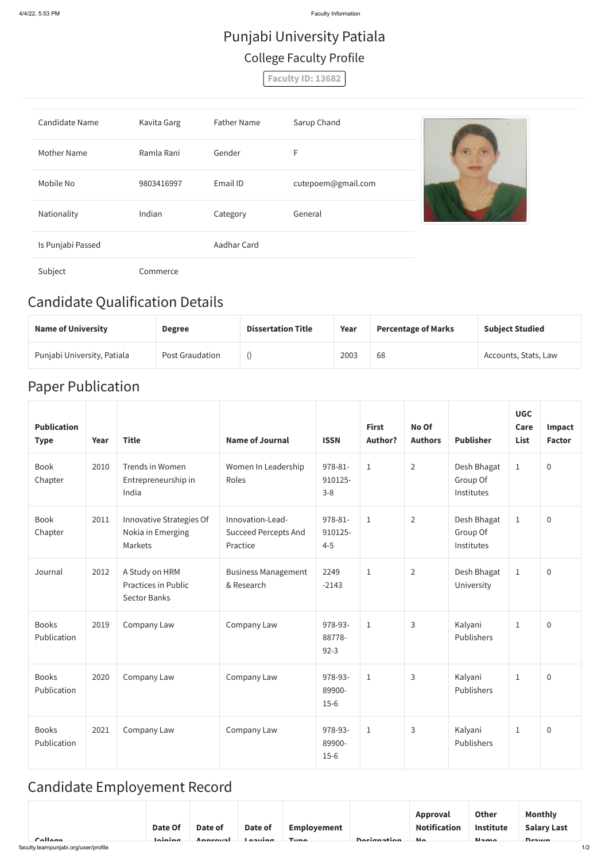4/4/22, 5:53 PM Faculty Information

### Candidate Qualification Details

| <b>Name of University</b>   | <b>Degree</b>   | <b>Dissertation Title</b> | Year | <b>Percentage of Marks</b> | <b>Subject Studied</b> |
|-----------------------------|-----------------|---------------------------|------|----------------------------|------------------------|
| Punjabi University, Patiala | Post Graudation |                           | 2003 | 68                         | Accounts, Stats, Law   |

### Paper Publication

|                                       | Date Of        | Date of  | Date of | <b>Employement</b> |                    | Approval<br><b>Notification</b> | <b>Other</b><br><b>Institute</b> | <b>Monthly</b><br><b>Salary Last</b> |     |
|---------------------------------------|----------------|----------|---------|--------------------|--------------------|---------------------------------|----------------------------------|--------------------------------------|-----|
| Collogo                               | <b>Joining</b> | Annroval | ومشيدها | <b>Tyne</b>        | <b>Decianation</b> | <b>N<sub>o</sub></b>            | Name                             | Drawn                                |     |
| faculty.learnpunjabi.org/user/profile |                |          |         |                    |                    |                                 |                                  |                                      | 1/2 |

| <b>Publication</b><br><b>Type</b> | Year | <b>Title</b>                                                        | <b>Name of Journal</b>                                      | <b>ISSN</b>                      | <b>First</b><br>Author? | No Of<br><b>Authors</b> | <b>Publisher</b>                      | <b>UGC</b><br>Care<br><b>List</b> | Impact<br><b>Factor</b> |
|-----------------------------------|------|---------------------------------------------------------------------|-------------------------------------------------------------|----------------------------------|-------------------------|-------------------------|---------------------------------------|-----------------------------------|-------------------------|
| <b>Book</b><br>Chapter            | 2010 | Trends in Women<br>Entrepreneurship in<br>India                     | Women In Leadership<br>Roles                                | $978 - 81$<br>910125-<br>$3 - 8$ | $\mathbf{1}$            | $\overline{2}$          | Desh Bhagat<br>Group Of<br>Institutes | $\mathbf{1}$                      | $\overline{0}$          |
| <b>Book</b><br>Chapter            | 2011 | Innovative Strategies Of<br>Nokia in Emerging<br>Markets            | Innovation-Lead-<br><b>Succeed Percepts And</b><br>Practice | 978-81-<br>910125-<br>$4 - 5$    | $\mathbf{1}$            | $\overline{2}$          | Desh Bhagat<br>Group Of<br>Institutes | $1\,$                             | $\overline{0}$          |
| Journal                           | 2012 | A Study on HRM<br><b>Practices in Public</b><br><b>Sector Banks</b> | <b>Business Management</b><br>& Research                    | 2249<br>$-2143$                  | $\mathbf{1}$            | $\overline{2}$          | Desh Bhagat<br>University             | $1\,$                             | $\overline{0}$          |
| <b>Books</b><br>Publication       | 2019 | Company Law                                                         | Company Law                                                 | 978-93-<br>88778-<br>$92 - 3$    | $\mathbf{1}$            | 3                       | Kalyani<br>Publishers                 | $\mathbf{1}$                      | $\overline{0}$          |
| <b>Books</b><br>Publication       | 2020 | Company Law                                                         | Company Law                                                 | 978-93-<br>89900-<br>$15-6$      | $\mathbf{1}$            | 3                       | Kalyani<br>Publishers                 | $\mathbf{1}$                      | $\overline{0}$          |
| <b>Books</b><br>Publication       | 2021 | Company Law                                                         | Company Law                                                 | 978-93-<br>89900-<br>$15-6$      | $\mathbf{1}$            | 3                       | Kalyani<br>Publishers                 | $\mathbf{1}$                      | $\overline{0}$          |

## Candidate Employement Record

# Punjabi University Patiala College Faculty Profile

**Faculty ID: 13682**

| <b>Candidate Name</b> | Kavita Garg | <b>Father Name</b> | Sarup Chand        |  |
|-----------------------|-------------|--------------------|--------------------|--|
| <b>Mother Name</b>    | Ramla Rani  | Gender             | F                  |  |
| Mobile No             | 9803416997  | Email ID           | cutepoem@gmail.com |  |
| Nationality           | Indian      | Category           | General            |  |
| Is Punjabi Passed     |             | Aadhar Card        |                    |  |
| Subject               | Commerce    |                    |                    |  |